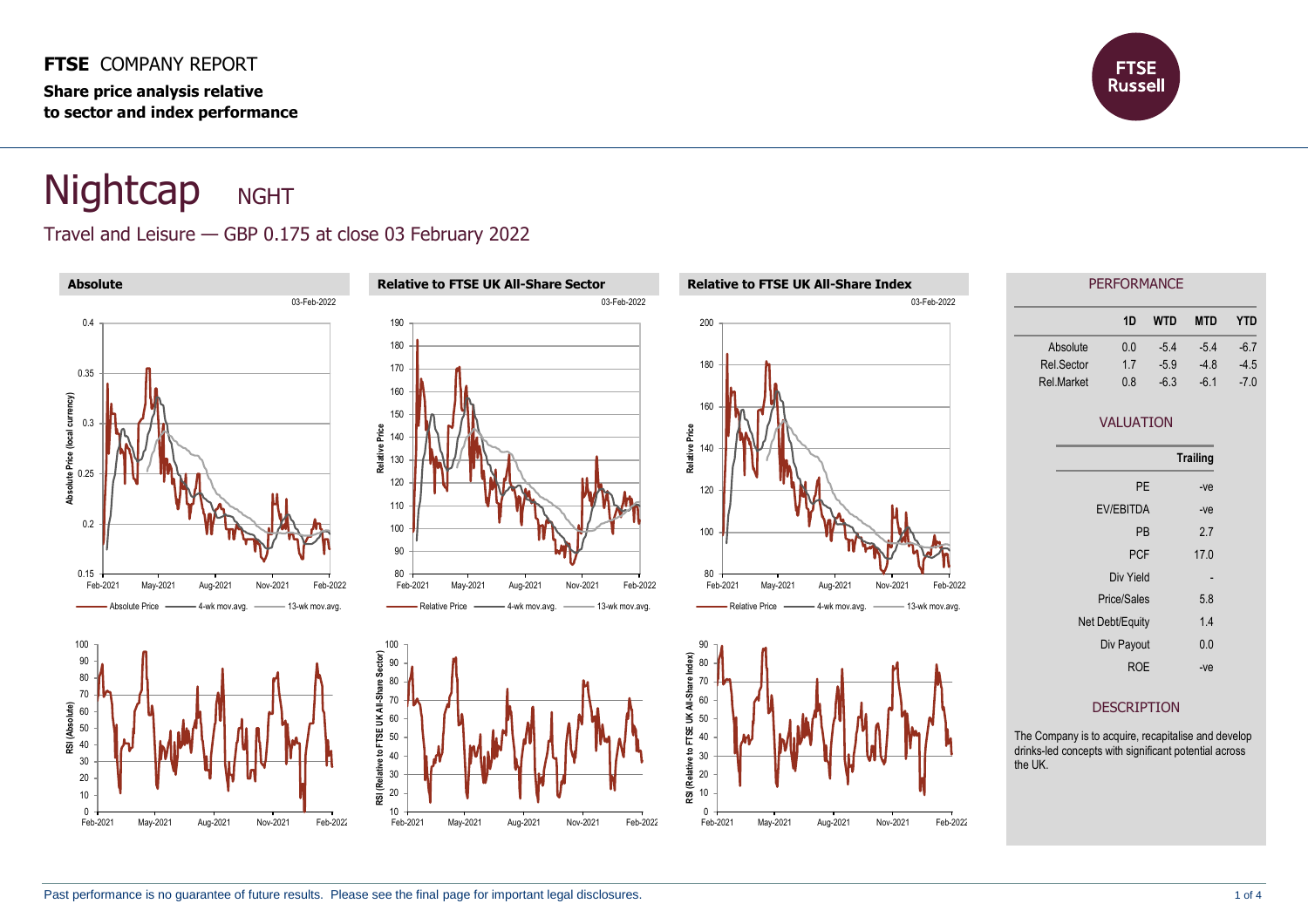#### **FTSE** COMPANY REPORT

**Share price analysis relative to sector and index performance**



# Nightcap NGHT

## Travel and Leisure — GBP 0.175 at close 03 February 2022

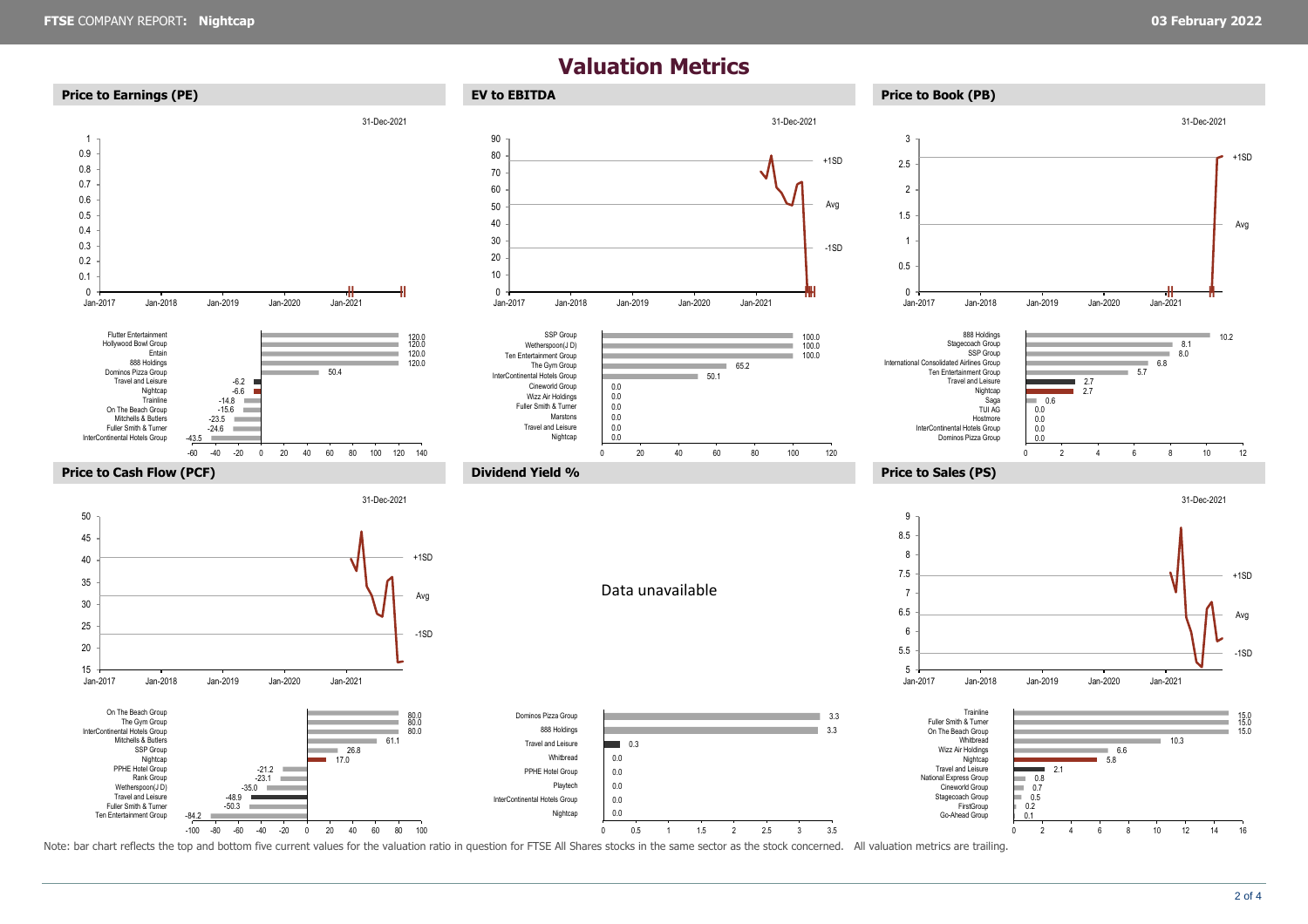### **Valuation Metrics**



Note: bar chart reflects the top and bottom five current values for the valuation ratio in question for FTSE All Shares stocks in the same sector as the stock concerned. All valuation metrics are trailing.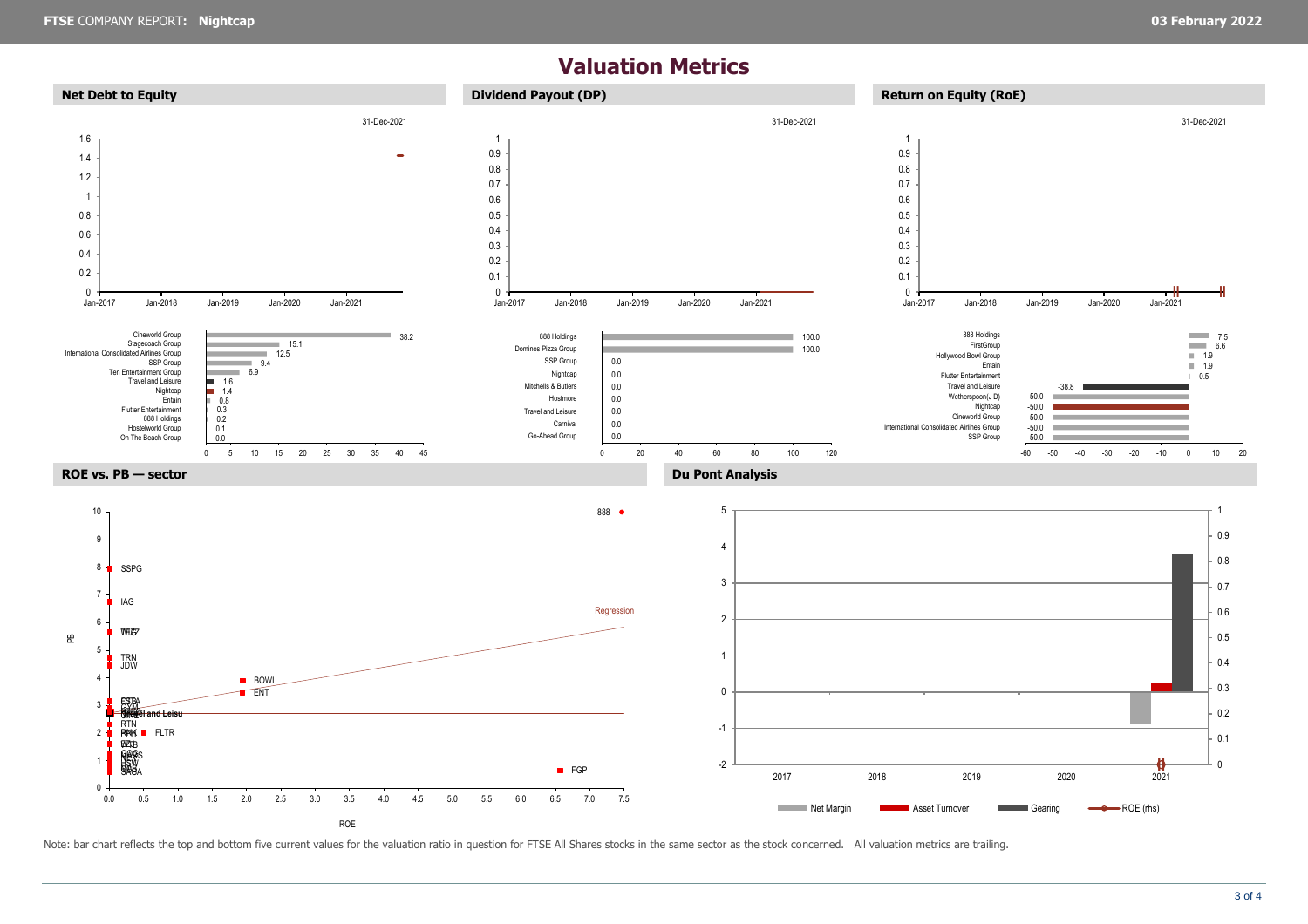## **Valuation Metrics**



Note: bar chart reflects the top and bottom five current values for the valuation ratio in question for FTSE All Shares stocks in the same sector as the stock concerned. All valuation metrics are trailing.